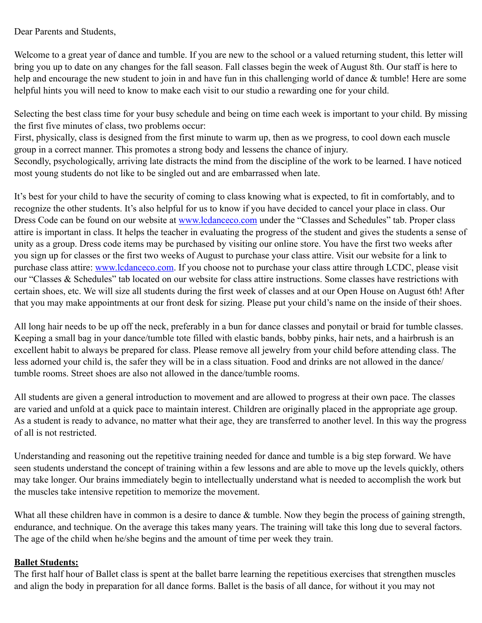Dear Parents and Students,

Welcome to a great year of dance and tumble. If you are new to the school or a valued returning student, this letter will bring you up to date on any changes for the fall season. Fall classes begin the week of August 8th. Our staff is here to help and encourage the new student to join in and have fun in this challenging world of dance & tumble! Here are some helpful hints you will need to know to make each visit to our studio a rewarding one for your child.

Selecting the best class time for your busy schedule and being on time each week is important to your child. By missing the first five minutes of class, two problems occur:

First, physically, class is designed from the first minute to warm up, then as we progress, to cool down each muscle group in a correct manner. This promotes a strong body and lessens the chance of injury.

Secondly, psychologically, arriving late distracts the mind from the discipline of the work to be learned. I have noticed most young students do not like to be singled out and are embarrassed when late.

It's best for your child to have the security of coming to class knowing what is expected, to fit in comfortably, and to recognize the other students. It's also helpful for us to know if you have decided to cancel your place in class. Our Dress Code can be found on our website at [www.lcdanceco.com](http://www.lcdanceco.com) under the "Classes and Schedules" tab. Proper class attire is important in class. It helps the teacher in evaluating the progress of the student and gives the students a sense of unity as a group. Dress code items may be purchased by visiting our online store. You have the first two weeks after you sign up for classes or the first two weeks of August to purchase your class attire. Visit our website for a link to purchase class attire: [www.lcdanceco.com.](http://www.lcdanceco.com) If you choose not to purchase your class attire through LCDC, please visit our "Classes & Schedules" tab located on our website for class attire instructions. Some classes have restrictions with certain shoes, etc. We will size all students during the first week of classes and at our Open House on August 6th! After that you may make appointments at our front desk for sizing. Please put your child's name on the inside of their shoes.

All long hair needs to be up off the neck, preferably in a bun for dance classes and ponytail or braid for tumble classes. Keeping a small bag in your dance/tumble tote filled with elastic bands, bobby pinks, hair nets, and a hairbrush is an excellent habit to always be prepared for class. Please remove all jewelry from your child before attending class. The less adorned your child is, the safer they will be in a class situation. Food and drinks are not allowed in the dance/ tumble rooms. Street shoes are also not allowed in the dance/tumble rooms.

All students are given a general introduction to movement and are allowed to progress at their own pace. The classes are varied and unfold at a quick pace to maintain interest. Children are originally placed in the appropriate age group. As a student is ready to advance, no matter what their age, they are transferred to another level. In this way the progress of all is not restricted.

Understanding and reasoning out the repetitive training needed for dance and tumble is a big step forward. We have seen students understand the concept of training within a few lessons and are able to move up the levels quickly, others may take longer. Our brains immediately begin to intellectually understand what is needed to accomplish the work but the muscles take intensive repetition to memorize the movement.

What all these children have in common is a desire to dance & tumble. Now they begin the process of gaining strength, endurance, and technique. On the average this takes many years. The training will take this long due to several factors. The age of the child when he/she begins and the amount of time per week they train.

## **Ballet Students:**

The first half hour of Ballet class is spent at the ballet barre learning the repetitious exercises that strengthen muscles and align the body in preparation for all dance forms. Ballet is the basis of all dance, for without it you may not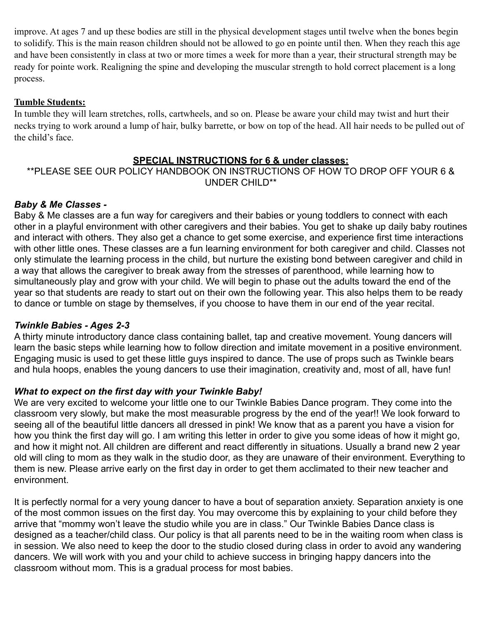improve. At ages 7 and up these bodies are still in the physical development stages until twelve when the bones begin to solidify. This is the main reason children should not be allowed to go en pointe until then. When they reach this age and have been consistently in class at two or more times a week for more than a year, their structural strength may be ready for pointe work. Realigning the spine and developing the muscular strength to hold correct placement is a long process.

#### **Tumble Students:**

In tumble they will learn stretches, rolls, cartwheels, and so on. Please be aware your child may twist and hurt their necks trying to work around a lump of hair, bulky barrette, or bow on top of the head. All hair needs to be pulled out of the child's face.

## **SPECIAL INSTRUCTIONS for 6 & under classes:**

## \*\*PLEASE SEE OUR POLICY HANDBOOK ON INSTRUCTIONS OF HOW TO DROP OFF YOUR 6 & UNDER CHILD\*\*

## *Baby & Me Classes -*

Baby & Me classes are a fun way for caregivers and their babies or young toddlers to connect with each other in a playful environment with other caregivers and their babies. You get to shake up daily baby routines and interact with others. They also get a chance to get some exercise, and experience first time interactions with other little ones. These classes are a fun learning environment for both caregiver and child. Classes not only stimulate the learning process in the child, but nurture the existing bond between caregiver and child in a way that allows the caregiver to break away from the stresses of parenthood, while learning how to simultaneously play and grow with your child. We will begin to phase out the adults toward the end of the year so that students are ready to start out on their own the following year. This also helps them to be ready to dance or tumble on stage by themselves, if you choose to have them in our end of the year recital.

## *Twinkle Babies - Ages 2-3*

A thirty minute introductory dance class containing ballet, tap and creative movement. Young dancers will learn the basic steps while learning how to follow direction and imitate movement in a positive environment. Engaging music is used to get these little guys inspired to dance. The use of props such as Twinkle bears and hula hoops, enables the young dancers to use their imagination, creativity and, most of all, have fun!

## *What to expect on the first day with your Twinkle Baby!*

We are very excited to welcome your little one to our Twinkle Babies Dance program. They come into the classroom very slowly, but make the most measurable progress by the end of the year!! We look forward to seeing all of the beautiful little dancers all dressed in pink! We know that as a parent you have a vision for how you think the first day will go. I am writing this letter in order to give you some ideas of how it might go, and how it might not. All children are different and react differently in situations. Usually a brand new 2 year old will cling to mom as they walk in the studio door, as they are unaware of their environment. Everything to them is new. Please arrive early on the first day in order to get them acclimated to their new teacher and environment.

It is perfectly normal for a very young dancer to have a bout of separation anxiety. Separation anxiety is one of the most common issues on the first day. You may overcome this by explaining to your child before they arrive that "mommy won't leave the studio while you are in class." Our Twinkle Babies Dance class is designed as a teacher/child class. Our policy is that all parents need to be in the waiting room when class is in session. We also need to keep the door to the studio closed during class in order to avoid any wandering dancers. We will work with you and your child to achieve success in bringing happy dancers into the classroom without mom. This is a gradual process for most babies.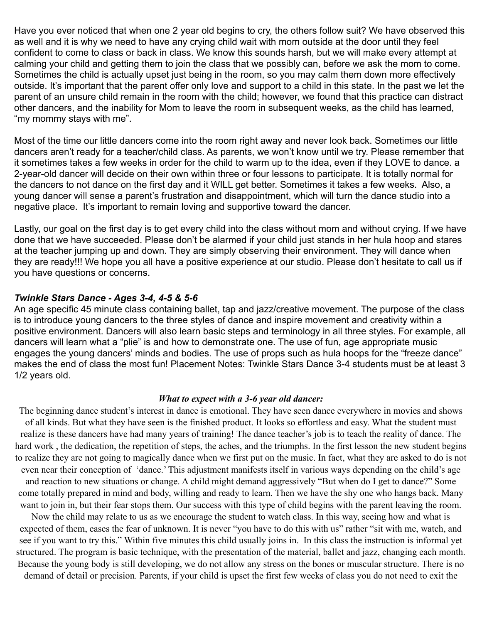Have you ever noticed that when one 2 year old begins to cry, the others follow suit? We have observed this as well and it is why we need to have any crying child wait with mom outside at the door until they feel confident to come to class or back in class. We know this sounds harsh, but we will make every attempt at calming your child and getting them to join the class that we possibly can, before we ask the mom to come. Sometimes the child is actually upset just being in the room, so you may calm them down more effectively outside. It's important that the parent offer only love and support to a child in this state. In the past we let the parent of an unsure child remain in the room with the child; however, we found that this practice can distract other dancers, and the inability for Mom to leave the room in subsequent weeks, as the child has learned, "my mommy stays with me".

Most of the time our little dancers come into the room right away and never look back. Sometimes our little dancers aren't ready for a teacher/child class. As parents, we won't know until we try. Please remember that it sometimes takes a few weeks in order for the child to warm up to the idea, even if they LOVE to dance. a 2-year-old dancer will decide on their own within three or four lessons to participate. It is totally normal for the dancers to not dance on the first day and it WILL get better. Sometimes it takes a few weeks. Also, a young dancer will sense a parent's frustration and disappointment, which will turn the dance studio into a negative place. It's important to remain loving and supportive toward the dancer.

Lastly, our goal on the first day is to get every child into the class without mom and without crying. If we have done that we have succeeded. Please don't be alarmed if your child just stands in her hula hoop and stares at the teacher jumping up and down. They are simply observing their environment. They will dance when they are ready!!! We hope you all have a positive experience at our studio. Please don't hesitate to call us if you have questions or concerns.

#### *Twinkle Stars Dance - Ages 3-4, 4-5 & 5-6*

An age specific 45 minute class containing ballet, tap and jazz/creative movement. The purpose of the class is to introduce young dancers to the three styles of dance and inspire movement and creativity within a positive environment. Dancers will also learn basic steps and terminology in all three styles. For example, all dancers will learn what a "plie" is and how to demonstrate one. The use of fun, age appropriate music engages the young dancers' minds and bodies. The use of props such as hula hoops for the "freeze dance" makes the end of class the most fun! Placement Notes: Twinkle Stars Dance 3-4 students must be at least 3 1/2 years old.

#### *What to expect with a 3-6 year old dancer:*

The beginning dance student's interest in dance is emotional. They have seen dance everywhere in movies and shows of all kinds. But what they have seen is the finished product. It looks so effortless and easy. What the student must realize is these dancers have had many years of training! The dance teacher's job is to teach the reality of dance. The hard work , the dedication, the repetition of steps, the aches, and the triumphs. In the first lesson the new student begins to realize they are not going to magically dance when we first put on the music. In fact, what they are asked to do is not even near their conception of 'dance.' This adjustment manifests itself in various ways depending on the child's age and reaction to new situations or change. A child might demand aggressively "But when do I get to dance?" Some come totally prepared in mind and body, willing and ready to learn. Then we have the shy one who hangs back. Many want to join in, but their fear stops them. Our success with this type of child begins with the parent leaving the room.

Now the child may relate to us as we encourage the student to watch class. In this way, seeing how and what is expected of them, eases the fear of unknown. It is never "you have to do this with us" rather "sit with me, watch, and see if you want to try this." Within five minutes this child usually joins in. In this class the instruction is informal yet structured. The program is basic technique, with the presentation of the material, ballet and jazz, changing each month. Because the young body is still developing, we do not allow any stress on the bones or muscular structure. There is no demand of detail or precision. Parents, if your child is upset the first few weeks of class you do not need to exit the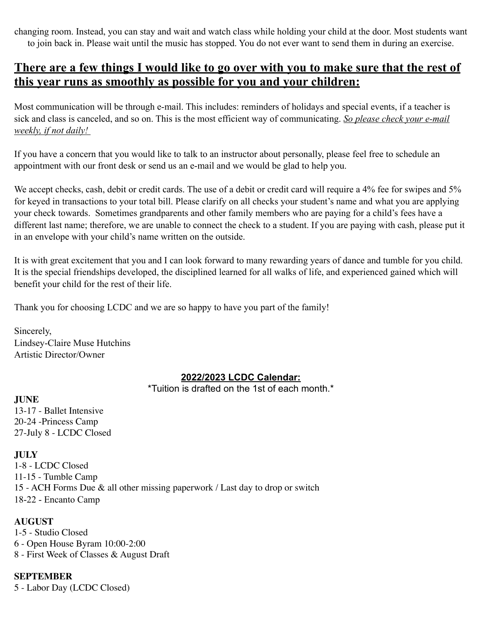changing room. Instead, you can stay and wait and watch class while holding your child at the door. Most students want to join back in. Please wait until the music has stopped. You do not ever want to send them in during an exercise.

# **There are a few things I would like to go over with you to make sure that the rest of this year runs as smoothly as possible for you and your children:**

Most communication will be through e-mail. This includes: reminders of holidays and special events, if a teacher is sick and class is canceled, and so on. This is the most efficient way of communicating. *So please check your e-mail weekly, if not daily!* 

If you have a concern that you would like to talk to an instructor about personally, please feel free to schedule an appointment with our front desk or send us an e-mail and we would be glad to help you.

We accept checks, cash, debit or credit cards. The use of a debit or credit card will require a 4% fee for swipes and 5% for keyed in transactions to your total bill. Please clarify on all checks your student's name and what you are applying your check towards. Sometimes grandparents and other family members who are paying for a child's fees have a different last name; therefore, we are unable to connect the check to a student. If you are paying with cash, please put it in an envelope with your child's name written on the outside.

It is with great excitement that you and I can look forward to many rewarding years of dance and tumble for you child. It is the special friendships developed, the disciplined learned for all walks of life, and experienced gained which will benefit your child for the rest of their life.

Thank you for choosing LCDC and we are so happy to have you part of the family!

Sincerely, Lindsey-Claire Muse Hutchins Artistic Director/Owner

## **2022/2023 LCDC Calendar:**

\*Tuition is drafted on the 1st of each month.\*

**JUNE** 

13-17 - Ballet Intensive 20-24 -Princess Camp 27-July 8 - LCDC Closed

**JULY** 

1-8 - LCDC Closed 11-15 - Tumble Camp 15 - ACH Forms Due & all other missing paperwork / Last day to drop or switch 18-22 - Encanto Camp

## **AUGUST**

1-5 - Studio Closed 6 - Open House Byram 10:00-2:00 8 - First Week of Classes & August Draft

## **SEPTEMBER**

5 - Labor Day (LCDC Closed)